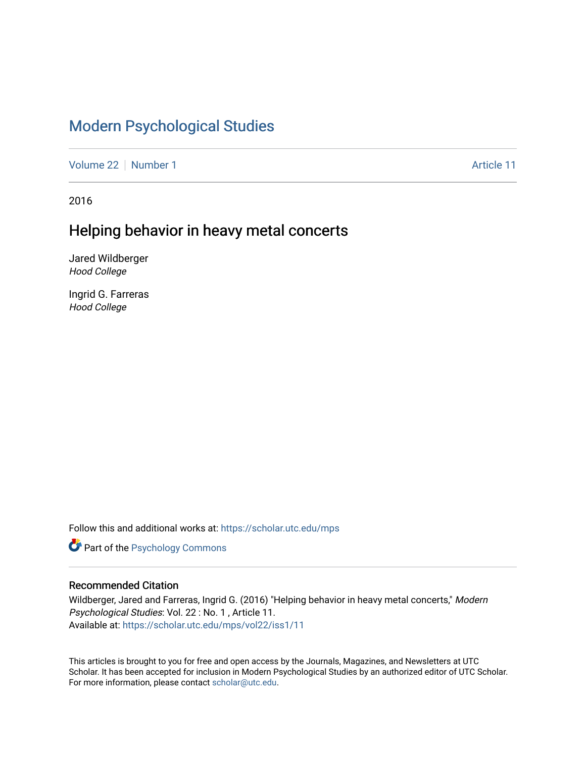# [Modern Psychological Studies](https://scholar.utc.edu/mps)

[Volume 22](https://scholar.utc.edu/mps/vol22) [Number 1](https://scholar.utc.edu/mps/vol22/iss1) Article 11

2016

## Helping behavior in heavy metal concerts

Jared Wildberger Hood College

Ingrid G. Farreras Hood College

Follow this and additional works at: [https://scholar.utc.edu/mps](https://scholar.utc.edu/mps?utm_source=scholar.utc.edu%2Fmps%2Fvol22%2Fiss1%2F11&utm_medium=PDF&utm_campaign=PDFCoverPages) 

**Part of the Psychology Commons** 

#### Recommended Citation

Wildberger, Jared and Farreras, Ingrid G. (2016) "Helping behavior in heavy metal concerts," Modern Psychological Studies: Vol. 22 : No. 1 , Article 11. Available at: [https://scholar.utc.edu/mps/vol22/iss1/11](https://scholar.utc.edu/mps/vol22/iss1/11?utm_source=scholar.utc.edu%2Fmps%2Fvol22%2Fiss1%2F11&utm_medium=PDF&utm_campaign=PDFCoverPages)

This articles is brought to you for free and open access by the Journals, Magazines, and Newsletters at UTC Scholar. It has been accepted for inclusion in Modern Psychological Studies by an authorized editor of UTC Scholar. For more information, please contact [scholar@utc.edu](mailto:scholar@utc.edu).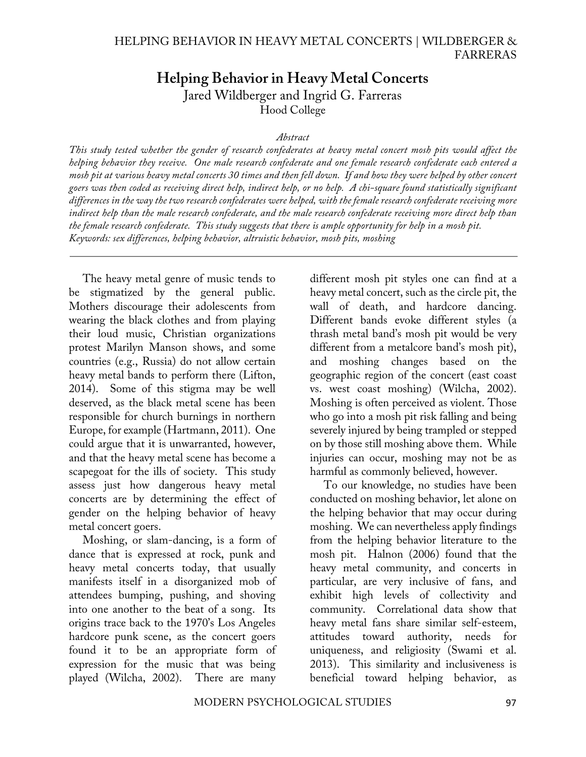### **Helping Behavior in Heavy Metal Concerts** Jared Wildberger and Ingrid G. Farreras Hood College

#### *Abstract*

*This study tested whether the gender of research confederates at heavy metal concert mosh pits would affect the helping behavior they receive. One male research confederate and one female research confederate each entered a mosh pit at various heavy metal concerts 30 times and then fell down. If and how they were helped by other concert goers was then coded as receiving direct help, indirect help, or no help. A chi-square found statistically significant differences in the way the two research confederates were helped, with the female research confederate receiving more indirect help than the male research confederate, and the male research confederate receiving more direct help than the female research confederate. This study suggests that there is ample opportunity for help in a mosh pit. Keywords: sex differences, helping behavior, altruistic behavior, mosh pits, moshing*

The heavy metal genre of music tends to be stigmatized by the general public. Mothers discourage their adolescents from wearing the black clothes and from playing their loud music, Christian organizations protest Marilyn Manson shows, and some countries (e.g., Russia) do not allow certain heavy metal bands to perform there (Lifton, 2014). Some of this stigma may be well deserved, as the black metal scene has been responsible for church burnings in northern Europe, for example (Hartmann, 2011). One could argue that it is unwarranted, however, and that the heavy metal scene has become a scapegoat for the ills of society. This study assess just how dangerous heavy metal concerts are by determining the effect of gender on the helping behavior of heavy metal concert goers.

Moshing, or slam-dancing, is a form of dance that is expressed at rock, punk and heavy metal concerts today, that usually manifests itself in a disorganized mob of attendees bumping, pushing, and shoving into one another to the beat of a song. Its origins trace back to the 1970's Los Angeles hardcore punk scene, as the concert goers found it to be an appropriate form of expression for the music that was being played (Wilcha, 2002). There are many

different mosh pit styles one can find at a heavy metal concert, such as the circle pit, the wall of death, and hardcore dancing. Different bands evoke different styles (a thrash metal band's mosh pit would be very different from a metalcore band's mosh pit), and moshing changes based on the geographic region of the concert (east coast vs. west coast moshing) (Wilcha, 2002). Moshing is often perceived as violent. Those who go into a mosh pit risk falling and being severely injured by being trampled or stepped on by those still moshing above them. While injuries can occur, moshing may not be as harmful as commonly believed, however.

To our knowledge, no studies have been conducted on moshing behavior, let alone on the helping behavior that may occur during moshing. We can nevertheless apply findings from the helping behavior literature to the mosh pit. Halnon (2006) found that the heavy metal community, and concerts in particular, are very inclusive of fans, and exhibit high levels of collectivity and community. Correlational data show that heavy metal fans share similar self-esteem, attitudes toward authority, needs for uniqueness, and religiosity (Swami et al. 2013). This similarity and inclusiveness is beneficial toward helping behavior, as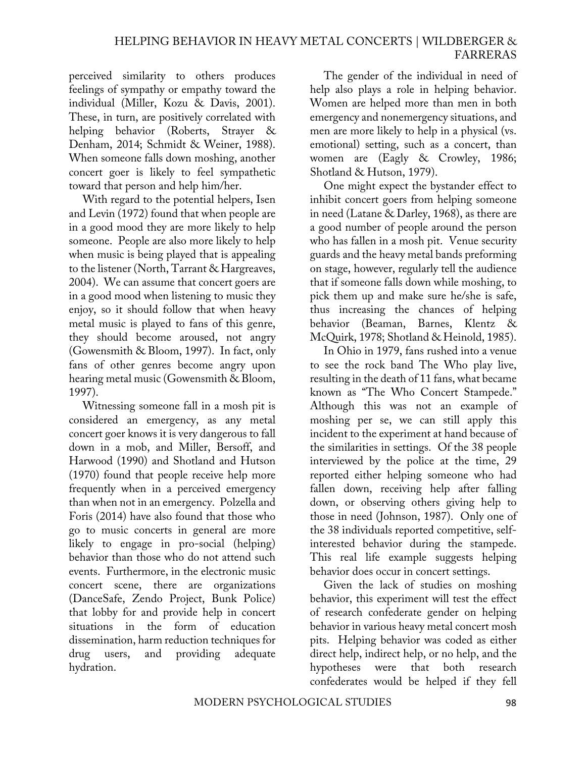perceived similarity to others produces feelings of sympathy or empathy toward the individual (Miller, Kozu & Davis, 2001). These, in turn, are positively correlated with helping behavior (Roberts, Strayer & Denham, 2014; Schmidt & Weiner, 1988). When someone falls down moshing, another concert goer is likely to feel sympathetic toward that person and help him/her.

With regard to the potential helpers, Isen and Levin (1972) found that when people are in a good mood they are more likely to help someone. People are also more likely to help when music is being played that is appealing to the listener (North, Tarrant & Hargreaves, 2004). We can assume that concert goers are in a good mood when listening to music they enjoy, so it should follow that when heavy metal music is played to fans of this genre, they should become aroused, not angry (Gowensmith & Bloom, 1997). In fact, only fans of other genres become angry upon hearing metal music (Gowensmith & Bloom, 1997).

Witnessing someone fall in a mosh pit is considered an emergency, as any metal concert goer knows it is very dangerous to fall down in a mob, and Miller, Bersoff, and Harwood (1990) and Shotland and Hutson (1970) found that people receive help more frequently when in a perceived emergency than when not in an emergency. Polzella and Foris (2014) have also found that those who go to music concerts in general are more likely to engage in pro-social (helping) behavior than those who do not attend such events. Furthermore, in the electronic music concert scene, there are organizations (DanceSafe, Zendo Project, Bunk Police) that lobby for and provide help in concert situations in the form of education dissemination, harm reduction techniques for drug users, and providing adequate hydration.

The gender of the individual in need of help also plays a role in helping behavior. Women are helped more than men in both emergency and nonemergency situations, and men are more likely to help in a physical (vs. emotional) setting, such as a concert, than women are (Eagly & Crowley, 1986; Shotland & Hutson, 1979).

One might expect the bystander effect to inhibit concert goers from helping someone in need (Latane & Darley, 1968), as there are a good number of people around the person who has fallen in a mosh pit. Venue security guards and the heavy metal bands preforming on stage, however, regularly tell the audience that if someone falls down while moshing, to pick them up and make sure he/she is safe, thus increasing the chances of helping behavior (Beaman, Barnes, Klentz & McQuirk, 1978; Shotland & Heinold, 1985).

In Ohio in 1979, fans rushed into a venue to see the rock band The Who play live, resulting in the death of 11 fans, what became known as "The Who Concert Stampede." Although this was not an example of moshing per se, we can still apply this incident to the experiment at hand because of the similarities in settings. Of the 38 people interviewed by the police at the time, 29 reported either helping someone who had fallen down, receiving help after falling down, or observing others giving help to those in need (Johnson, 1987). Only one of the 38 individuals reported competitive, selfinterested behavior during the stampede. This real life example suggests helping behavior does occur in concert settings.

Given the lack of studies on moshing behavior, this experiment will test the effect of research confederate gender on helping behavior in various heavy metal concert mosh pits. Helping behavior was coded as either direct help, indirect help, or no help, and the hypotheses were that both research confederates would be helped if they fell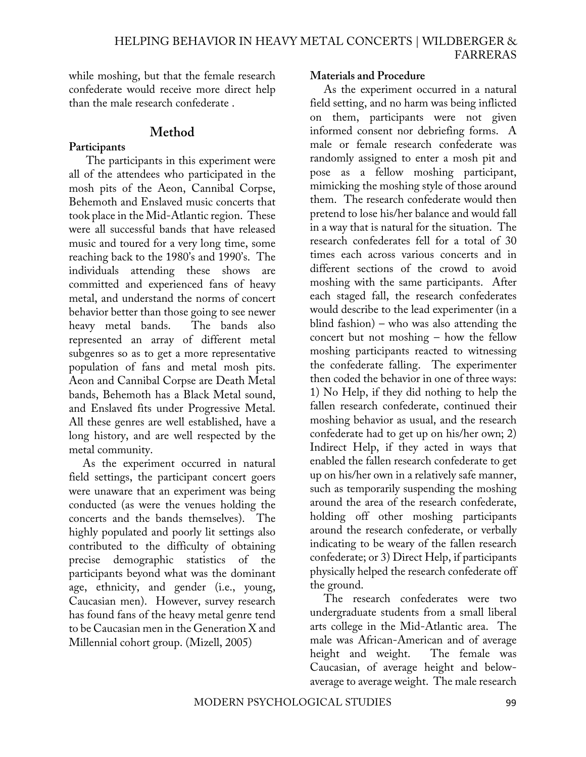while moshing, but that the female research confederate would receive more direct help than the male research confederate .

### **Method**

### **Participants**

The participants in this experiment were all of the attendees who participated in the mosh pits of the Aeon, Cannibal Corpse, Behemoth and Enslaved music concerts that took place in the Mid-Atlantic region. These were all successful bands that have released music and toured for a very long time, some reaching back to the 1980's and 1990's. The individuals attending these shows are committed and experienced fans of heavy metal, and understand the norms of concert behavior better than those going to see newer heavy metal bands. The bands also represented an array of different metal subgenres so as to get a more representative population of fans and metal mosh pits. Aeon and Cannibal Corpse are Death Metal bands, Behemoth has a Black Metal sound, and Enslaved fits under Progressive Metal. All these genres are well established, have a long history, and are well respected by the metal community.

As the experiment occurred in natural field settings, the participant concert goers were unaware that an experiment was being conducted (as were the venues holding the concerts and the bands themselves). The highly populated and poorly lit settings also contributed to the difficulty of obtaining precise demographic statistics of the participants beyond what was the dominant age, ethnicity, and gender (i.e., young, Caucasian men). However, survey research has found fans of the heavy metal genre tend to be Caucasian men in the Generation X and Millennial cohort group. (Mizell, 2005)

#### **Materials and Procedure**

As the experiment occurred in a natural field setting, and no harm was being inflicted on them, participants were not given informed consent nor debriefing forms. A male or female research confederate was randomly assigned to enter a mosh pit and pose as a fellow moshing participant, mimicking the moshing style of those around them. The research confederate would then pretend to lose his/her balance and would fall in a way that is natural for the situation. The research confederates fell for a total of 30 times each across various concerts and in different sections of the crowd to avoid moshing with the same participants. After each staged fall, the research confederates would describe to the lead experimenter (in a blind fashion) – who was also attending the concert but not moshing – how the fellow moshing participants reacted to witnessing the confederate falling. The experimenter then coded the behavior in one of three ways: 1) No Help, if they did nothing to help the fallen research confederate, continued their moshing behavior as usual, and the research confederate had to get up on his/her own; 2) Indirect Help, if they acted in ways that enabled the fallen research confederate to get up on his/her own in a relatively safe manner, such as temporarily suspending the moshing around the area of the research confederate, holding off other moshing participants around the research confederate, or verbally indicating to be weary of the fallen research confederate; or 3) Direct Help, if participants physically helped the research confederate off the ground.

The research confederates were two undergraduate students from a small liberal arts college in the Mid-Atlantic area. The male was African-American and of average height and weight. The female was Caucasian, of average height and belowaverage to average weight. The male research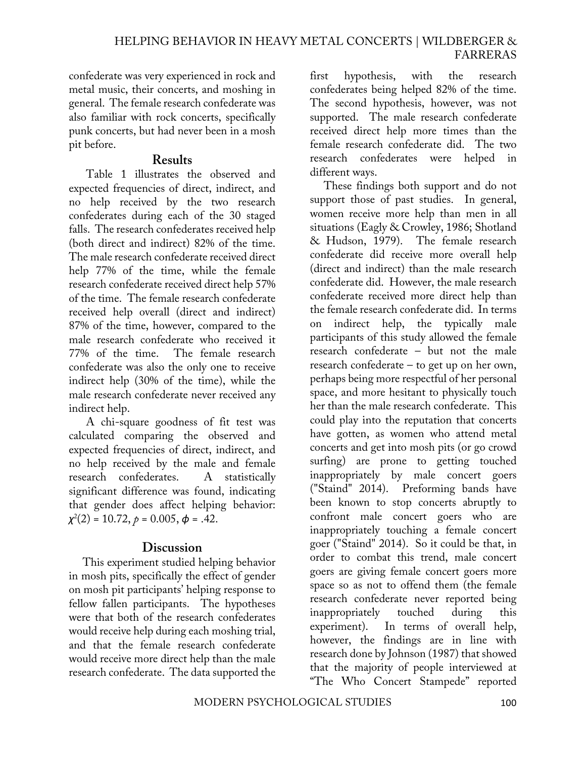confederate was very experienced in rock and metal music, their concerts, and moshing in general. The female research confederate was also familiar with rock concerts, specifically punk concerts, but had never been in a mosh pit before.

#### **Results**

Table 1 illustrates the observed and expected frequencies of direct, indirect, and no help received by the two research confederates during each of the 30 staged falls. The research confederates received help (both direct and indirect) 82% of the time. The male research confederate received direct help 77% of the time, while the female research confederate received direct help 57% of the time. The female research confederate received help overall (direct and indirect) 87% of the time, however, compared to the male research confederate who received it 77% of the time. The female research confederate was also the only one to receive indirect help (30% of the time), while the male research confederate never received any indirect help.

A chi-square goodness of fit test was calculated comparing the observed and expected frequencies of direct, indirect, and no help received by the male and female research confederates. A statistically significant difference was found, indicating that gender does affect helping behavior: *χ*2 (2) = 10.72, *p* = 0.005, *ϕ* = .42.

### **Discussion**

This experiment studied helping behavior in mosh pits, specifically the effect of gender on mosh pit participants' helping response to fellow fallen participants. The hypotheses were that both of the research confederates would receive help during each moshing trial, and that the female research confederate would receive more direct help than the male research confederate. The data supported the first hypothesis, with the research confederates being helped 82% of the time. The second hypothesis, however, was not supported. The male research confederate received direct help more times than the female research confederate did. The two research confederates were helped in different ways.

These findings both support and do not support those of past studies. In general, women receive more help than men in all situations (Eagly & Crowley, 1986; Shotland & Hudson, 1979). The female research confederate did receive more overall help (direct and indirect) than the male research confederate did. However, the male research confederate received more direct help than the female research confederate did. In terms on indirect help, the typically male participants of this study allowed the female research confederate – but not the male research confederate – to get up on her own, perhaps being more respectful of her personal space, and more hesitant to physically touch her than the male research confederate. This could play into the reputation that concerts have gotten, as women who attend metal concerts and get into mosh pits (or go crowd surfing) are prone to getting touched inappropriately by male concert goers ("Staind" 2014). Preforming bands have been known to stop concerts abruptly to confront male concert goers who are inappropriately touching a female concert goer ("Staind" 2014). So it could be that, in order to combat this trend, male concert goers are giving female concert goers more space so as not to offend them (the female research confederate never reported being inappropriately touched during this experiment). In terms of overall help, however, the findings are in line with research done by Johnson (1987) that showed that the majority of people interviewed at "The Who Concert Stampede" reported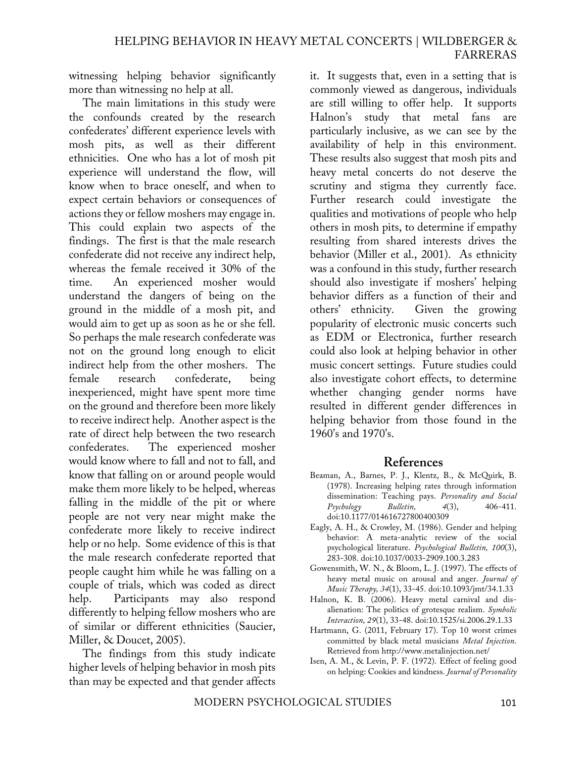witnessing helping behavior significantly more than witnessing no help at all.

The main limitations in this study were the confounds created by the research confederates' different experience levels with mosh pits, as well as their different ethnicities. One who has a lot of mosh pit experience will understand the flow, will know when to brace oneself, and when to expect certain behaviors or consequences of actions they or fellow moshers may engage in. This could explain two aspects of the findings. The first is that the male research confederate did not receive any indirect help, whereas the female received it 30% of the time. An experienced mosher would understand the dangers of being on the ground in the middle of a mosh pit, and would aim to get up as soon as he or she fell. So perhaps the male research confederate was not on the ground long enough to elicit indirect help from the other moshers. The female research confederate, being inexperienced, might have spent more time on the ground and therefore been more likely to receive indirect help. Another aspect is the rate of direct help between the two research confederates. The experienced mosher would know where to fall and not to fall, and know that falling on or around people would make them more likely to be helped, whereas falling in the middle of the pit or where people are not very near might make the confederate more likely to receive indirect help or no help. Some evidence of this is that the male research confederate reported that people caught him while he was falling on a couple of trials, which was coded as direct help. Participants may also respond differently to helping fellow moshers who are of similar or different ethnicities (Saucier, Miller, & Doucet, 2005).

The findings from this study indicate higher levels of helping behavior in mosh pits than may be expected and that gender affects it. It suggests that, even in a setting that is commonly viewed as dangerous, individuals are still willing to offer help. It supports Halnon's study that metal fans are particularly inclusive, as we can see by the availability of help in this environment. These results also suggest that mosh pits and heavy metal concerts do not deserve the scrutiny and stigma they currently face. Further research could investigate the qualities and motivations of people who help others in mosh pits, to determine if empathy resulting from shared interests drives the behavior (Miller et al., 2001). As ethnicity was a confound in this study, further research should also investigate if moshers' helping behavior differs as a function of their and others' ethnicity. Given the growing popularity of electronic music concerts such as EDM or Electronica, further research could also look at helping behavior in other music concert settings. Future studies could also investigate cohort effects, to determine whether changing gender norms have resulted in different gender differences in helping behavior from those found in the 1960's and 1970's.

#### **References**

- Beaman, A., Barnes, P. J., Klentz, B., & McQuirk, B. (1978). Increasing helping rates through information dissemination: Teaching pays. *Personality and Social Psychology Bulletin, 4*(3), 406-411. doi:10.1177/014616727800400309
- Eagly, A. H., & Crowley, M. (1986). Gender and helping behavior: A meta-analytic review of the social psychological literature. *Psychological Bulletin, 100*(3), 283-308. doi:10.1037/0033-2909.100.3.283
- Gowensmith, W. N., & Bloom, L. J. (1997). The effects of heavy metal music on arousal and anger. *Journal of Music Therapy, 34*(1), 33-45. doi:10.1093/jmt/34.1.33
- Halnon, K. B. (2006). Heavy metal carnival and disalienation: The politics of grotesque realism. *Symbolic Interaction, 29*(1), 33-48. doi:10.1525/si.2006.29.1.33
- Hartmann, G. (2011, February 17). Top 10 worst crimes committed by black metal musicians *Metal Injection*. Retrieved from http://www.metalinjection.net/
- Isen, A. M., & Levin, P. F. (1972). Effect of feeling good on helping: Cookies and kindness. *Journal of Personality*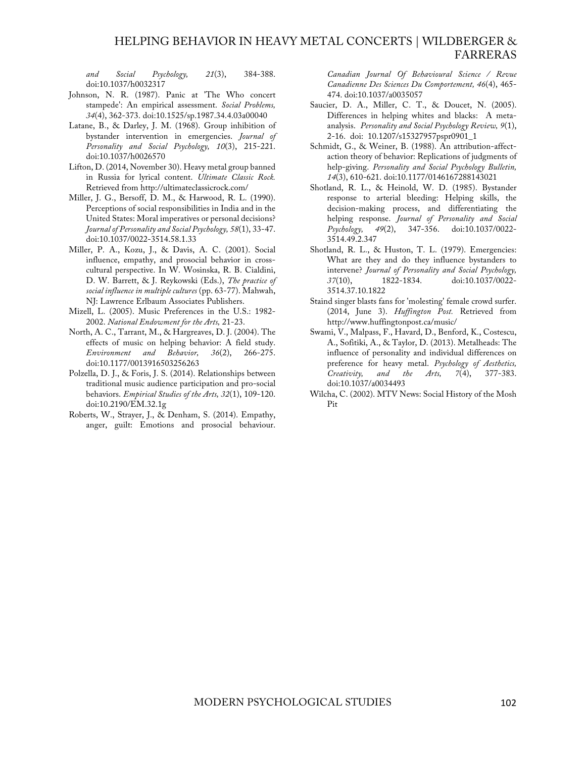#### HELPING BEHAVIOR IN HEAVY METAL CONCERTS | WILDBERGER & FARRERAS

*and Social Psychology, 21*(3), 384-388. doi:10.1037/h0032317

- Johnson, N. R. (1987). Panic at 'The Who concert stampede': An empirical assessment. *Social Problems, 34*(4), 362-373. doi:10.1525/sp.1987.34.4.03a00040
- Latane, B., & Darley, J. M. (1968). Group inhibition of bystander intervention in emergencies. *Journal of Personality and Social Psychology, 10*(3), 215-221. doi:10.1037/h0026570
- Lifton, D. (2014, November 30). Heavy metal group banned in Russia for lyrical content. *Ultimate Classic Rock.*  Retrieved from http://ultimateclassicrock.com/
- Miller, J. G., Bersoff, D. M., & Harwood, R. L. (1990). Perceptions of social responsibilities in India and in the United States: Moral imperatives or personal decisions? *Journal of Personality and Social Psychology, 58*(1), 33-47. doi:10.1037/0022-3514.58.1.33
- Miller, P. A., Kozu, J., & Davis, A. C. (2001). Social influence, empathy, and prosocial behavior in crosscultural perspective. In W. Wosinska, R. B. Cialdini, D. W. Barrett, & J. Reykowski (Eds.), *The practice of social influence in multiple cultures* (pp. 63-77). Mahwah, NJ: Lawrence Erlbaum Associates Publishers.
- Mizell, L. (2005). Music Preferences in the U.S.: 1982- 2002. *National Endowment for the Arts,* 21-23.
- North, A. C., Tarrant, M., & Hargreaves, D. J. (2004). The effects of music on helping behavior: A field study. *Environment and Behavior, 36*(2), 266-275. doi:10.1177/0013916503256263
- Polzella, D. J., & Foris, J. S. (2014). Relationships between traditional music audience participation and pro-social behaviors. *Empirical Studies of the Arts, 32*(1), 109-120. doi:10.2190/EM.32.1g
- Roberts, W., Strayer, J., & Denham, S. (2014). Empathy, anger, guilt: Emotions and prosocial behaviour.

*Canadian Journal Of Behavioural Science / Revue Canadienne Des Sciences Du Comportement, 46*(4), 465- 474. doi:10.1037/a0035057

- Saucier, D. A., Miller, C. T., & Doucet, N. (2005). Differences in helping whites and blacks: A metaanalysis. *Personality and Social Psychology Review, 9*(1), 2-16. doi: 10.1207/s15327957pspr0901\_1
- Schmidt, G., & Weiner, B. (1988). An attribution-affectaction theory of behavior: Replications of judgments of help-giving. *Personality and Social Psychology Bulletin, 14*(3), 610-621. doi:10.1177/0146167288143021
- Shotland, R. L., & Heinold, W. D. (1985). Bystander response to arterial bleeding: Helping skills, the decision-making process, and differentiating the helping response. *Journal of Personality and Social Psychology, 49*(2), 347-356. doi:10.1037/0022- 3514.49.2.347
- Shotland, R. L., & Huston, T. L. (1979). Emergencies: What are they and do they influence bystanders to intervene? *Journal of Personality and Social Psychology, 37*(10), 1822-1834. doi:10.1037/0022- 3514.37.10.1822
- Staind singer blasts fans for 'molesting' female crowd surfer. (2014, June 3). *Huffington Post.* Retrieved from http://www.huffingtonpost.ca/music/
- Swami, V., Malpass, F., Havard, D., Benford, K., Costescu, A., Sofitiki, A., & Taylor, D. (2013). Metalheads: The influence of personality and individual differences on preference for heavy metal. *Psychology of Aesthetics, Creativity, and the Arts, 7*(4), 377-383. doi:10.1037/a0034493
- Wilcha, C. (2002). MTV News: Social History of the Mosh Pit